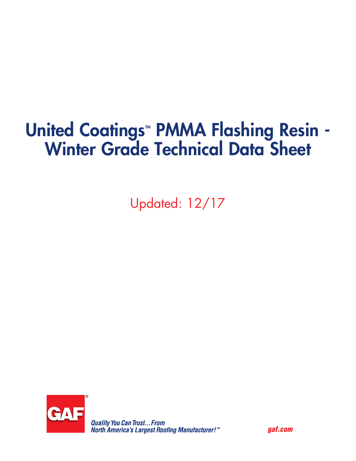## **United Coatings<sup>™</sup> PMMA Flashing Resin -**Winter Grade Technical Data Sheet

Updated: 12/17



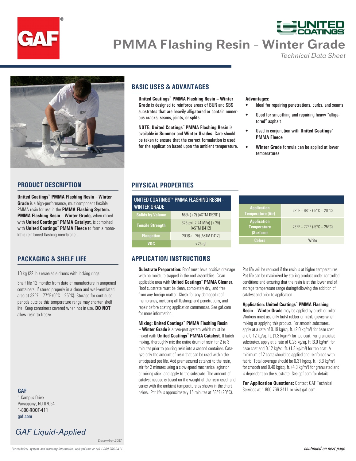

# **PMMA Flashing Resin** – **Winter Grade**

*Technical Data Sheet*



#### **PRODUCT DESCRIPTION**

**United Coatings**™ **PMMA Flashing Resin** – **Winter Grade** is a high-performance, multicomponent flexible PMMA resin for use in the **PMMA Flashing System. PMMA Flashing Resin** – **Winter Grade,** when mixed with **United Coatings™ PMMA Catalyst**, is combined with **United Coatings**™ **PMMA Fleece** to form a monolithic reinforced flashing membrane.

#### **PACKAGING & SHELF LIFE**

10 kg (22 lb.) resealable drums with locking rings.

Shelf life 12 months from date of manufacture in unopened containers, if stored properly in a clean and well-ventilated area at 32°F – 77°F (0°C – 25°C). Storage for continued periods outside this temperature range may shorten shelf life. Keep containers covered when not in use. **DO NOT** allow resin to freeze.

#### **GAF**

1 Campus Drive Parsippany, NJ 07054 1-800-ROOF-411 gaf.com

### *GAF Liquid-Applied*

*December 2017*

#### **BASIC USES & ADVANTAGES**

**United Coatings**™ **PMMA Flashing Resin – Winter Grade** is designed to reinforce areas of BUR and SBS substrates that are heavily alligatored or contain numerous cracks, seams, joints, or splits.

**NOTE: United Coatings**™ **PMMA Flashing Resin** is available in **Summer** and **Winter Grades**. Care should be taken to ensure that the correct formulation is used for the application based upon the ambient temperature.

#### **Advantages:**

- Ideal for repairing penetrations, curbs, and seams
- Good for smoothing and repairing heavy "alligatored" asphalt
- Used in conjunction with **United Coatings**™ **PMMA Fleece**
- **• Winter Grade** formula can be applied at lower temperatures

#### **PHYSICAL PROPERTIES**

|                         | UNITED COATINGS™ PMMA FLASHING RESIN –              |                                          |                                                        |  |  |
|-------------------------|-----------------------------------------------------|------------------------------------------|--------------------------------------------------------|--|--|
| WINTER GRADE            |                                                     | <b>Application</b>                       | $23^{\circ}F - 68^{\circ}F - 5^{\circ}C - 20^{\circ}C$ |  |  |
| <b>Solids by Volume</b> | 58% ( $\pm$ 2) [ASTM D5201]                         | <b>Temperature (Air)</b>                 |                                                        |  |  |
| <b>Tensile Strength</b> | 325 psi (2.24 MPa) $(\pm 25)$<br><b>IASTM D4121</b> | <b>Application</b><br><b>Temperature</b> | $23^{\circ}F - 77^{\circ}F + 5^{\circ}C - 25^{\circ}C$ |  |  |
| <b>Elongation</b>       | $200\%$ ( $\pm 25$ ) [ASTM D412]                    | (Surface)                                |                                                        |  |  |
| <b>VOC</b>              | $<$ 25 g/L                                          | <b>Colors</b>                            | White                                                  |  |  |

#### **APPLICATION INSTRUCTIONS**

**Substrate Preparation: Roof must have positive drainage** with no moisture trapped in the roof assemblies. Clean applicable area with **United Coatings**™ **PMMA Cleaner.**  Roof substrate must be clean, completely dry, and free from any foreign matter. Check for any damaged roof membranes, including all flashings and penetrations, and repair before coating application commences. See gaf.com for more information.

**Mixing: United Coatings™ PMMA Flashing Resin – Winter Grade** is a two-part system which must be

mixed with **United Coatings™ PMMA Catalyst**. If batch mixing, thoroughly mix the entire drum of resin for 2 to 3 minutes prior to pouring resin into a second container. Catalyze only the amount of resin that can be used within the anticipated pot life. Add premeasured catalyst to the resin, stir for 2 minutes using a slow-speed mechanical agitator or mixing stick, and apply to the substrate. The amount of catalyst needed is based on the weight of the resin used, and varies with the ambient temperature as shown in the chart below. Pot life is approximately 15 minutes at 68°F (20°C).

Pot life will be reduced if the resin is at higher temperatures. Pot life can be maximized by storing product under controlled conditions and ensuring that the resin is at the lower end of storage temperature range during/following the addition of catalyst and prior to application.

#### **Application: United Coatings™ PMMA Flashing**

**Resin – Winter Grade** may be applied by brush or roller. Workers must use only butyl rubber or nitrile gloves when mixing or applying this product. For smooth substrates, apply at a rate of 0.19 kg/sq. ft. (2.0 kg/m²) for base coat and 0.12 kg/sq. ft. (1.3 kg/m²) for top coat. For granulated substrates, apply at a rate of 0.28 kg/sq. ft (3.0 kg/m²) for base coat and 0.12 kg/sq. ft. (1.3 kg/m²) for top coat. A minimum of 2 coats should be applied and reinforced with fabric. Total coverage should be 0.31 kg/sq. ft. (3.3 kg/m²) for smooth and 0.40 kg/sq. ft. (4.3 kg/m²) for granulated and is dependent on the substrate. See gaf.com for details.

**For Application Questions: Contact GAF Technical** Services at 1-800-766-3411 or visit gaf.com.